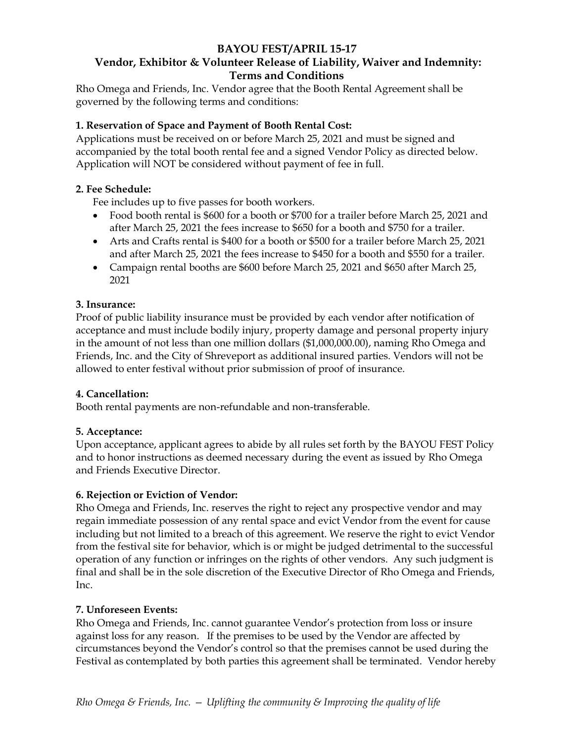### **BAYOU FEST/APRIL 15-17 Vendor, Exhibitor & Volunteer Release of Liability, Waiver and Indemnity: Terms and Conditions**

Rho Omega and Friends, Inc. Vendor agree that the Booth Rental Agreement shall be governed by the following terms and conditions:

## **1. Reservation of Space and Payment of Booth Rental Cost:**

Applications must be received on or before March 25, 2021 and must be signed and accompanied by the total booth rental fee and a signed Vendor Policy as directed below. Application will NOT be considered without payment of fee in full.

### **2. Fee Schedule:**

Fee includes up to five passes for booth workers.

- Food booth rental is \$600 for a booth or \$700 for a trailer before March 25, 2021 and after March 25, 2021 the fees increase to \$650 for a booth and \$750 for a trailer.
- Arts and Crafts rental is \$400 for a booth or \$500 for a trailer before March 25, 2021 and after March 25, 2021 the fees increase to \$450 for a booth and \$550 for a trailer.
- Campaign rental booths are \$600 before March 25, 2021 and \$650 after March 25, 2021

### **3. Insurance:**

Proof of public liability insurance must be provided by each vendor after notification of acceptance and must include bodily injury, property damage and personal property injury in the amount of not less than one million dollars (\$1,000,000.00), naming Rho Omega and Friends, Inc. and the City of Shreveport as additional insured parties. Vendors will not be allowed to enter festival without prior submission of proof of insurance.

### **4. Cancellation:**

Booth rental payments are non-refundable and non-transferable.

# **5. Acceptance:**

Upon acceptance, applicant agrees to abide by all rules set forth by the BAYOU FEST Policy and to honor instructions as deemed necessary during the event as issued by Rho Omega and Friends Executive Director.

### **6. Rejection or Eviction of Vendor:**

Rho Omega and Friends, Inc. reserves the right to reject any prospective vendor and may regain immediate possession of any rental space and evict Vendor from the event for cause including but not limited to a breach of this agreement. We reserve the right to evict Vendor from the festival site for behavior, which is or might be judged detrimental to the successful operation of any function or infringes on the rights of other vendors. Any such judgment is final and shall be in the sole discretion of the Executive Director of Rho Omega and Friends, Inc.

### **7. Unforeseen Events:**

Rho Omega and Friends, Inc. cannot guarantee Vendor's protection from loss or insure against loss for any reason. If the premises to be used by the Vendor are affected by circumstances beyond the Vendor's control so that the premises cannot be used during the Festival as contemplated by both parties this agreement shall be terminated. Vendor hereby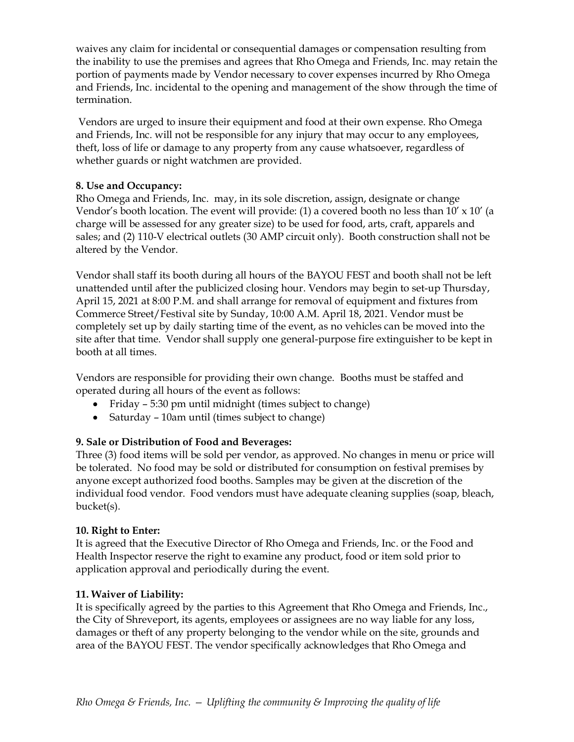waives any claim for incidental or consequential damages or compensation resulting from the inability to use the premises and agrees that Rho Omega and Friends, Inc. may retain the portion of payments made by Vendor necessary to cover expenses incurred by Rho Omega and Friends, Inc. incidental to the opening and management of the show through the time of termination.

Vendors are urged to insure their equipment and food at their own expense. Rho Omega and Friends, Inc. will not be responsible for any injury that may occur to any employees, theft, loss of life or damage to any property from any cause whatsoever, regardless of whether guards or night watchmen are provided.

### **8. Use and Occupancy:**

Rho Omega and Friends, Inc. may, in its sole discretion, assign, designate or change Vendor's booth location. The event will provide: (1) a covered booth no less than 10' x 10' (a charge will be assessed for any greater size) to be used for food, arts, craft, apparels and sales; and (2) 110-V electrical outlets (30 AMP circuit only). Booth construction shall not be altered by the Vendor.

Vendor shall staff its booth during all hours of the BAYOU FEST and booth shall not be left unattended until after the publicized closing hour. Vendors may begin to set-up Thursday, April 15, 2021 at 8:00 P.M. and shall arrange for removal of equipment and fixtures from Commerce Street/Festival site by Sunday, 10:00 A.M. April 18, 2021. Vendor must be completely set up by daily starting time of the event, as no vehicles can be moved into the site after that time. Vendor shall supply one general-purpose fire extinguisher to be kept in booth at all times.

Vendors are responsible for providing their own change.Booths must be staffed and operated during all hours of the event as follows:

- Friday 5:30 pm until midnight (times subject to change)
- Saturday 10am until (times subject to change)

# **9. Sale or Distribution of Food and Beverages:**

Three (3) food items will be sold per vendor, as approved. No changes in menu or price will be tolerated. No food may be sold or distributed for consumption on festival premises by anyone except authorized food booths. Samples may be given at the discretion of the individual food vendor. Food vendors must have adequate cleaning supplies (soap, bleach, bucket(s).

# **10. Right to Enter:**

It is agreed that the Executive Director of Rho Omega and Friends, Inc. or the Food and Health Inspector reserve the right to examine any product, food or item sold prior to application approval and periodically during the event.

# **11. Waiver of Liability:**

It is specifically agreed by the parties to this Agreement that Rho Omega and Friends, Inc., the City of Shreveport, its agents, employees or assignees are no way liable for any loss, damages or theft of any property belonging to the vendor while on the site, grounds and area of the BAYOU FEST. The vendor specifically acknowledges that Rho Omega and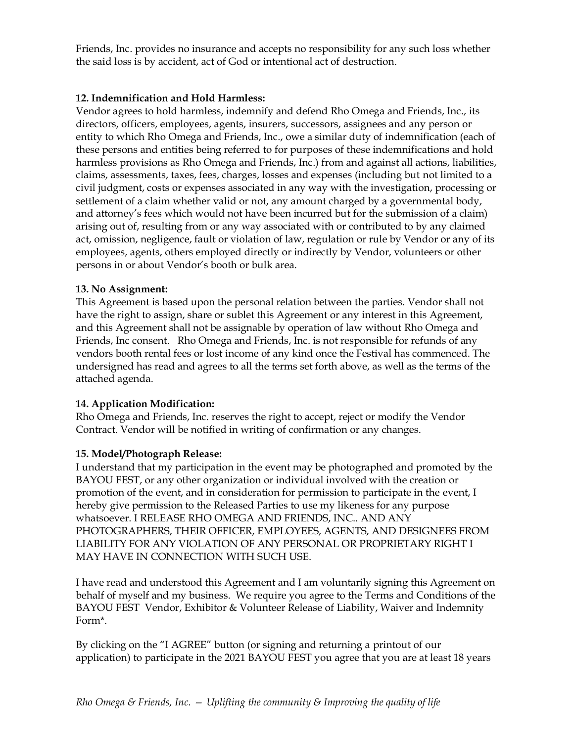Friends, Inc. provides no insurance and accepts no responsibility for any such loss whether the said loss is by accident, act of God or intentional act of destruction.

## **12. Indemnification and Hold Harmless:**

Vendor agrees to hold harmless, indemnify and defend Rho Omega and Friends, Inc., its directors, officers, employees, agents, insurers, successors, assignees and any person or entity to which Rho Omega and Friends, Inc., owe a similar duty of indemnification (each of these persons and entities being referred to for purposes of these indemnifications and hold harmless provisions as Rho Omega and Friends, Inc.) from and against all actions, liabilities, claims, assessments, taxes, fees, charges, losses and expenses (including but not limited to a civil judgment, costs or expenses associated in any way with the investigation, processing or settlement of a claim whether valid or not, any amount charged by a governmental body, and attorney's fees which would not have been incurred but for the submission of a claim) arising out of, resulting from or any way associated with or contributed to by any claimed act, omission, negligence, fault or violation of law, regulation or rule by Vendor or any of its employees, agents, others employed directly or indirectly by Vendor, volunteers or other persons in or about Vendor's booth or bulk area.

### **13. No Assignment:**

This Agreement is based upon the personal relation between the parties. Vendor shall not have the right to assign, share or sublet this Agreement or any interest in this Agreement, and this Agreement shall not be assignable by operation of law without Rho Omega and Friends, Inc consent. Rho Omega and Friends, Inc. is not responsible for refunds of any vendors booth rental fees or lost income of any kind once the Festival has commenced. The undersigned has read and agrees to all the terms set forth above, as well as the terms of the attached agenda.

# **14. Application Modification:**

Rho Omega and Friends, Inc. reserves the right to accept, reject or modify the Vendor Contract. Vendor will be notified in writing of confirmation or any changes.

# **15. Model/Photograph Release:**

I understand that my participation in the event may be photographed and promoted by the BAYOU FEST, or any other organization or individual involved with the creation or promotion of the event, and in consideration for permission to participate in the event, I hereby give permission to the Released Parties to use my likeness for any purpose whatsoever. I RELEASE RHO OMEGA AND FRIENDS, INC.. AND ANY PHOTOGRAPHERS, THEIR OFFICER, EMPLOYEES, AGENTS, AND DESIGNEES FROM LIABILITY FOR ANY VIOLATION OF ANY PERSONAL OR PROPRIETARY RIGHT I MAY HAVE IN CONNECTION WITH SUCH USE.

I have read and understood this Agreement and I am voluntarily signing this Agreement on behalf of myself and my business. We require you agree to the Terms and Conditions of the BAYOU FEST Vendor, Exhibitor & Volunteer Release of Liability, Waiver and Indemnity Form\*.

By clicking on the "I AGREE" button (or signing and returning a printout of our application) to participate in the 2021 BAYOU FEST you agree that you are at least 18 years